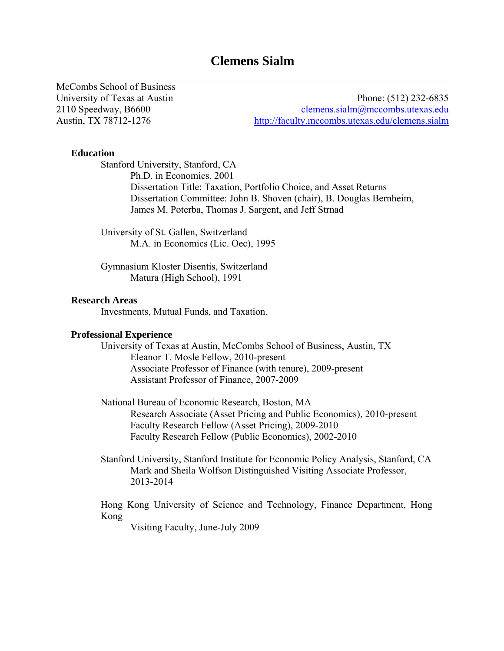# **Clemens Sialm**

McCombs School of Business

University of Texas at Austin Phone: (512) 232-6835 2110 Speedway, B6600 clemens.sialm@mccombs.utexas.edu Austin, TX 78712-1276 http://faculty.mccombs.utexas.edu/clemens.sialm

## **Education**

Stanford University, Stanford, CA Ph.D. in Economics, 2001 Dissertation Title: Taxation, Portfolio Choice, and Asset Returns Dissertation Committee: John B. Shoven (chair), B. Douglas Bernheim, James M. Poterba, Thomas J. Sargent, and Jeff Strnad

University of St. Gallen, Switzerland M.A. in Economics (Lic. Oec), 1995

Gymnasium Kloster Disentis, Switzerland Matura (High School), 1991

## **Research Areas**

Investments, Mutual Funds, and Taxation.

#### **Professional Experience**

University of Texas at Austin, McCombs School of Business, Austin, TX Eleanor T. Mosle Fellow, 2010-present Associate Professor of Finance (with tenure), 2009-present Assistant Professor of Finance, 2007-2009

National Bureau of Economic Research, Boston, MA Research Associate (Asset Pricing and Public Economics), 2010-present Faculty Research Fellow (Asset Pricing), 2009-2010 Faculty Research Fellow (Public Economics), 2002-2010

Stanford University, Stanford Institute for Economic Policy Analysis, Stanford, CA Mark and Sheila Wolfson Distinguished Visiting Associate Professor, 2013-2014

Hong Kong University of Science and Technology, Finance Department, Hong Kong

Visiting Faculty, June-July 2009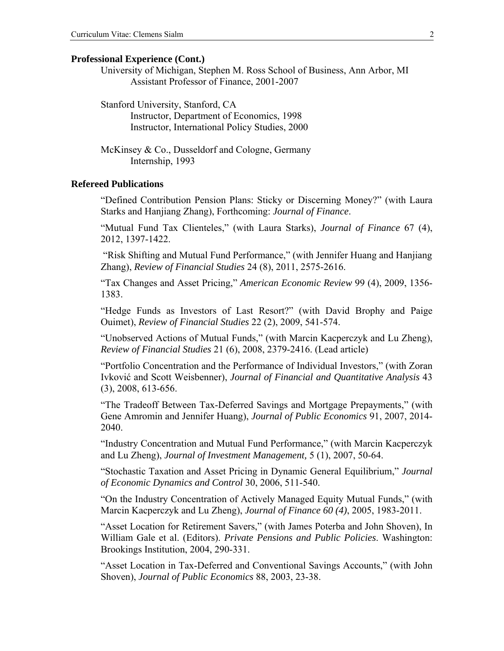# **Professional Experience (Cont.)**

University of Michigan, Stephen M. Ross School of Business, Ann Arbor, MI Assistant Professor of Finance, 2001-2007

Stanford University, Stanford, CA Instructor, Department of Economics, 1998 Instructor, International Policy Studies, 2000

McKinsey & Co., Dusseldorf and Cologne, Germany Internship, 1993

#### **Refereed Publications**

"Defined Contribution Pension Plans: Sticky or Discerning Money?" (with Laura Starks and Hanjiang Zhang), Forthcoming: *Journal of Finance*.

"Mutual Fund Tax Clienteles," (with Laura Starks), *Journal of Finance* 67 (4), 2012, 1397-1422.

 "Risk Shifting and Mutual Fund Performance," (with Jennifer Huang and Hanjiang Zhang), *Review of Financial Studies* 24 (8), 2011, 2575-2616.

"Tax Changes and Asset Pricing," *American Economic Review* 99 (4), 2009, 1356- 1383.

"Hedge Funds as Investors of Last Resort?" (with David Brophy and Paige Ouimet), *Review of Financial Studies* 22 (2), 2009, 541-574.

"Unobserved Actions of Mutual Funds," (with Marcin Kacperczyk and Lu Zheng), *Review of Financial Studies* 21 (6), 2008, 2379-2416. (Lead article)

"Portfolio Concentration and the Performance of Individual Investors," (with Zoran Ivković and Scott Weisbenner), *Journal of Financial and Quantitative Analysis* 43 (3), 2008, 613-656.

"The Tradeoff Between Tax-Deferred Savings and Mortgage Prepayments," (with Gene Amromin and Jennifer Huang), *Journal of Public Economics* 91, 2007, 2014- 2040.

"Industry Concentration and Mutual Fund Performance," (with Marcin Kacperczyk and Lu Zheng), *Journal of Investment Management,* 5 (1), 2007, 50-64.

"Stochastic Taxation and Asset Pricing in Dynamic General Equilibrium," *Journal of Economic Dynamics and Control* 30, 2006, 511-540.

"On the Industry Concentration of Actively Managed Equity Mutual Funds," (with Marcin Kacperczyk and Lu Zheng), *Journal of Finance 60 (4)*, 2005, 1983-2011.

"Asset Location for Retirement Savers," (with James Poterba and John Shoven), In William Gale et al. (Editors). *Private Pensions and Public Policies*. Washington: Brookings Institution, 2004, 290-331.

"Asset Location in Tax-Deferred and Conventional Savings Accounts," (with John Shoven), *Journal of Public Economics* 88, 2003, 23-38.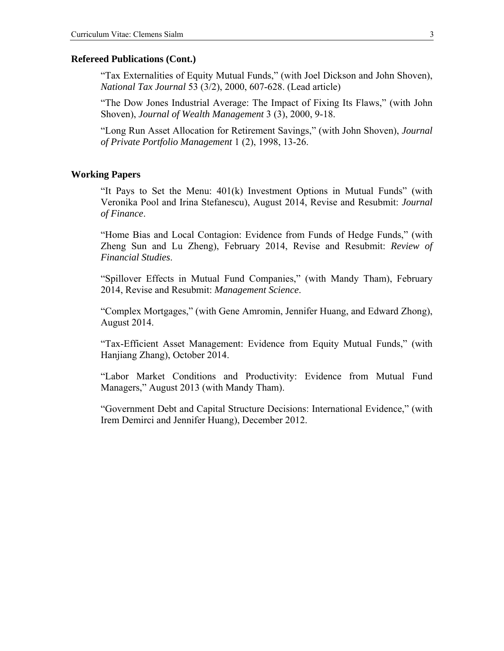## **Refereed Publications (Cont.)**

"Tax Externalities of Equity Mutual Funds," (with Joel Dickson and John Shoven), *National Tax Journal* 53 (3/2), 2000, 607-628. (Lead article)

"The Dow Jones Industrial Average: The Impact of Fixing Its Flaws," (with John Shoven), *Journal of Wealth Management* 3 (3), 2000, 9-18.

"Long Run Asset Allocation for Retirement Savings," (with John Shoven), *Journal of Private Portfolio Management* 1 (2), 1998, 13-26.

#### **Working Papers**

"It Pays to Set the Menu: 401(k) Investment Options in Mutual Funds" (with Veronika Pool and Irina Stefanescu), August 2014, Revise and Resubmit: *Journal of Finance*.

"Home Bias and Local Contagion: Evidence from Funds of Hedge Funds," (with Zheng Sun and Lu Zheng), February 2014, Revise and Resubmit: *Review of Financial Studies*.

"Spillover Effects in Mutual Fund Companies," (with Mandy Tham), February 2014, Revise and Resubmit: *Management Science*.

"Complex Mortgages," (with Gene Amromin, Jennifer Huang, and Edward Zhong), August 2014.

"Tax-Efficient Asset Management: Evidence from Equity Mutual Funds," (with Hanjiang Zhang), October 2014.

"Labor Market Conditions and Productivity: Evidence from Mutual Fund Managers," August 2013 (with Mandy Tham).

"Government Debt and Capital Structure Decisions: International Evidence," (with Irem Demirci and Jennifer Huang), December 2012.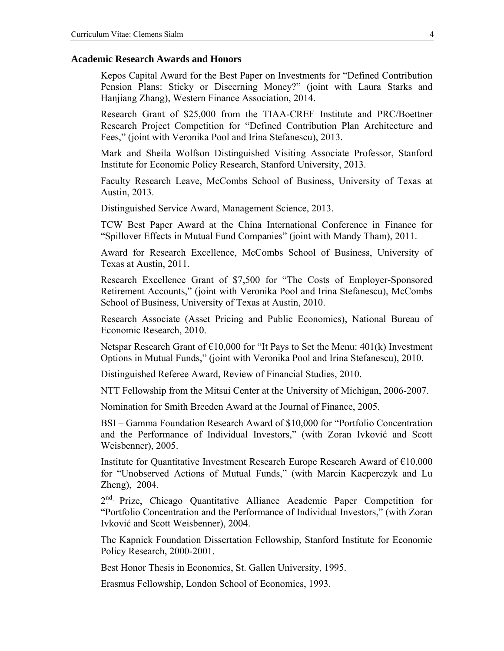#### **Academic Research Awards and Honors**

Kepos Capital Award for the Best Paper on Investments for "Defined Contribution Pension Plans: Sticky or Discerning Money?" (joint with Laura Starks and Hanjiang Zhang), Western Finance Association, 2014.

Research Grant of \$25,000 from the TIAA-CREF Institute and PRC/Boettner Research Project Competition for "Defined Contribution Plan Architecture and Fees," (joint with Veronika Pool and Irina Stefanescu), 2013.

Mark and Sheila Wolfson Distinguished Visiting Associate Professor, Stanford Institute for Economic Policy Research, Stanford University, 2013.

Faculty Research Leave, McCombs School of Business, University of Texas at Austin, 2013.

Distinguished Service Award, Management Science, 2013.

TCW Best Paper Award at the China International Conference in Finance for "Spillover Effects in Mutual Fund Companies" (joint with Mandy Tham), 2011.

Award for Research Excellence, McCombs School of Business, University of Texas at Austin, 2011.

Research Excellence Grant of \$7,500 for "The Costs of Employer-Sponsored Retirement Accounts," (joint with Veronika Pool and Irina Stefanescu), McCombs School of Business, University of Texas at Austin, 2010.

Research Associate (Asset Pricing and Public Economics), National Bureau of Economic Research, 2010.

Netspar Research Grant of  $\epsilon$ 10,000 for "It Pays to Set the Menu: 401(k) Investment Options in Mutual Funds," (joint with Veronika Pool and Irina Stefanescu), 2010.

Distinguished Referee Award, Review of Financial Studies, 2010.

NTT Fellowship from the Mitsui Center at the University of Michigan, 2006-2007.

Nomination for Smith Breeden Award at the Journal of Finance, 2005.

BSI – Gamma Foundation Research Award of \$10,000 for "Portfolio Concentration and the Performance of Individual Investors," (with Zoran Ivković and Scott Weisbenner), 2005.

Institute for Quantitative Investment Research Europe Research Award of €10,000 for "Unobserved Actions of Mutual Funds," (with Marcin Kacperczyk and Lu Zheng), 2004.

2<sup>nd</sup> Prize, Chicago Quantitative Alliance Academic Paper Competition for "Portfolio Concentration and the Performance of Individual Investors," (with Zoran Ivković and Scott Weisbenner), 2004.

The Kapnick Foundation Dissertation Fellowship, Stanford Institute for Economic Policy Research, 2000-2001.

Best Honor Thesis in Economics, St. Gallen University, 1995.

Erasmus Fellowship, London School of Economics, 1993.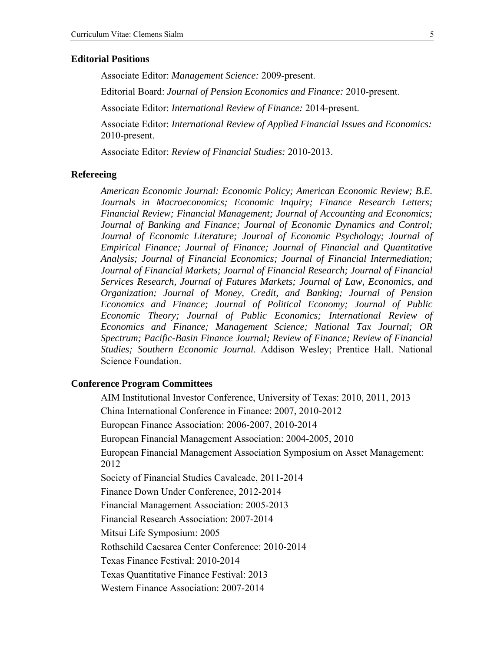#### **Editorial Positions**

Associate Editor: *Management Science:* 2009-present.

Editorial Board: *Journal of Pension Economics and Finance:* 2010-present.

Associate Editor: *International Review of Finance:* 2014-present.

Associate Editor: *International Review of Applied Financial Issues and Economics:* 2010-present.

Associate Editor: *Review of Financial Studies:* 2010-2013.

#### **Refereeing**

*American Economic Journal: Economic Policy; American Economic Review; B.E. Journals in Macroeconomics; Economic Inquiry; Finance Research Letters; Financial Review; Financial Management; Journal of Accounting and Economics; Journal of Banking and Finance; Journal of Economic Dynamics and Control; Journal of Economic Literature; Journal of Economic Psychology; Journal of Empirical Finance; Journal of Finance; Journal of Financial and Quantitative Analysis; Journal of Financial Economics; Journal of Financial Intermediation; Journal of Financial Markets; Journal of Financial Research; Journal of Financial Services Research, Journal of Futures Markets; Journal of Law, Economics, and Organization; Journal of Money, Credit, and Banking; Journal of Pension Economics and Finance; Journal of Political Economy; Journal of Public Economic Theory; Journal of Public Economics; International Review of Economics and Finance; Management Science; National Tax Journal; OR Spectrum; Pacific-Basin Finance Journal; Review of Finance; Review of Financial Studies; Southern Economic Journal*. Addison Wesley; Prentice Hall. National Science Foundation.

## **Conference Program Committees**

AIM Institutional Investor Conference, University of Texas: 2010, 2011, 2013 China International Conference in Finance: 2007, 2010-2012 European Finance Association: 2006-2007, 2010-2014 European Financial Management Association: 2004-2005, 2010 European Financial Management Association Symposium on Asset Management: 2012 Society of Financial Studies Cavalcade, 2011-2014 Finance Down Under Conference, 2012-2014 Financial Management Association: 2005-2013 Financial Research Association: 2007-2014 Mitsui Life Symposium: 2005 Rothschild Caesarea Center Conference: 2010-2014 Texas Finance Festival: 2010-2014 Texas Quantitative Finance Festival: 2013 Western Finance Association: 2007-2014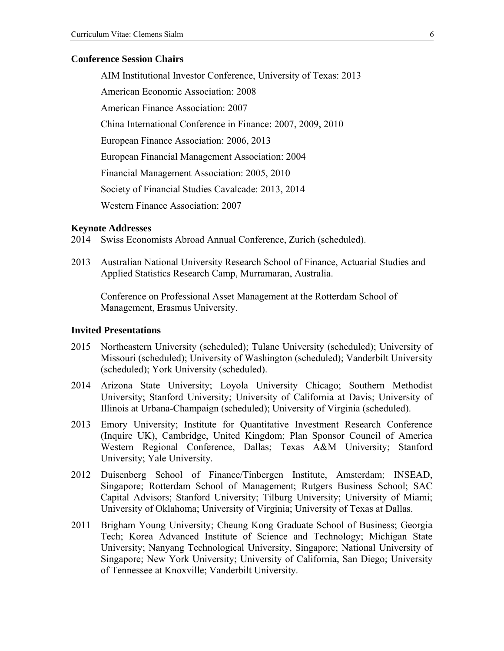#### **Conference Session Chairs**

AIM Institutional Investor Conference, University of Texas: 2013

American Economic Association: 2008

American Finance Association: 2007

China International Conference in Finance: 2007, 2009, 2010

European Finance Association: 2006, 2013

European Financial Management Association: 2004

Financial Management Association: 2005, 2010

Society of Financial Studies Cavalcade: 2013, 2014

Western Finance Association: 2007

# **Keynote Addresses**

- 2014 Swiss Economists Abroad Annual Conference, Zurich (scheduled).
- 2013 Australian National University Research School of Finance, Actuarial Studies and Applied Statistics Research Camp, Murramaran, Australia.

Conference on Professional Asset Management at the Rotterdam School of Management, Erasmus University.

## **Invited Presentations**

- 2015 Northeastern University (scheduled); Tulane University (scheduled); University of Missouri (scheduled); University of Washington (scheduled); Vanderbilt University (scheduled); York University (scheduled).
- 2014 Arizona State University; Loyola University Chicago; Southern Methodist University; Stanford University; University of California at Davis; University of Illinois at Urbana-Champaign (scheduled); University of Virginia (scheduled).
- 2013 Emory University; Institute for Quantitative Investment Research Conference (Inquire UK), Cambridge, United Kingdom; Plan Sponsor Council of America Western Regional Conference, Dallas; Texas A&M University; Stanford University; Yale University.
- 2012 Duisenberg School of Finance/Tinbergen Institute, Amsterdam; INSEAD, Singapore; Rotterdam School of Management; Rutgers Business School; SAC Capital Advisors; Stanford University; Tilburg University; University of Miami; University of Oklahoma; University of Virginia; University of Texas at Dallas.
- 2011 Brigham Young University; Cheung Kong Graduate School of Business; Georgia Tech; Korea Advanced Institute of Science and Technology; Michigan State University; Nanyang Technological University, Singapore; National University of Singapore; New York University; University of California, San Diego; University of Tennessee at Knoxville; Vanderbilt University.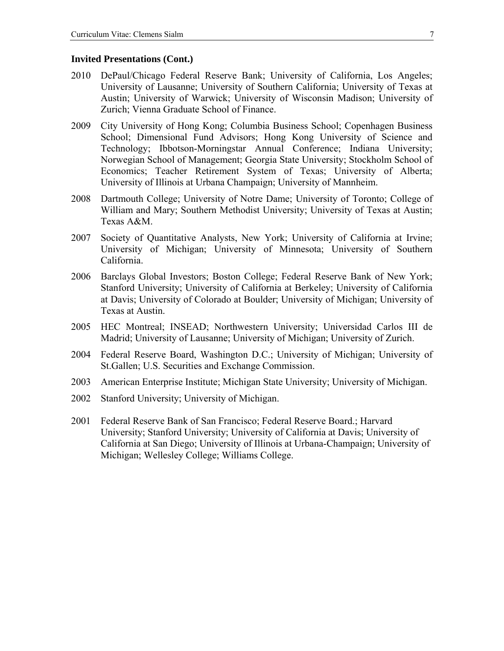#### **Invited Presentations (Cont.)**

- 2010 DePaul/Chicago Federal Reserve Bank; University of California, Los Angeles; University of Lausanne; University of Southern California; University of Texas at Austin; University of Warwick; University of Wisconsin Madison; University of Zurich; Vienna Graduate School of Finance.
- 2009 City University of Hong Kong; Columbia Business School; Copenhagen Business School; Dimensional Fund Advisors; Hong Kong University of Science and Technology; Ibbotson-Morningstar Annual Conference; Indiana University; Norwegian School of Management; Georgia State University; Stockholm School of Economics; Teacher Retirement System of Texas; University of Alberta; University of Illinois at Urbana Champaign; University of Mannheim.
- 2008 Dartmouth College; University of Notre Dame; University of Toronto; College of William and Mary; Southern Methodist University; University of Texas at Austin; Texas A&M.
- 2007 Society of Quantitative Analysts, New York; University of California at Irvine; University of Michigan; University of Minnesota; University of Southern California.
- 2006 Barclays Global Investors; Boston College; Federal Reserve Bank of New York; Stanford University; University of California at Berkeley; University of California at Davis; University of Colorado at Boulder; University of Michigan; University of Texas at Austin.
- 2005 HEC Montreal; INSEAD; Northwestern University; Universidad Carlos III de Madrid; University of Lausanne; University of Michigan; University of Zurich.
- 2004 Federal Reserve Board, Washington D.C.; University of Michigan; University of St.Gallen; U.S. Securities and Exchange Commission.
- 2003 American Enterprise Institute; Michigan State University; University of Michigan.
- 2002 Stanford University; University of Michigan.
- 2001 Federal Reserve Bank of San Francisco; Federal Reserve Board.; Harvard University; Stanford University; University of California at Davis; University of California at San Diego; University of Illinois at Urbana-Champaign; University of Michigan; Wellesley College; Williams College.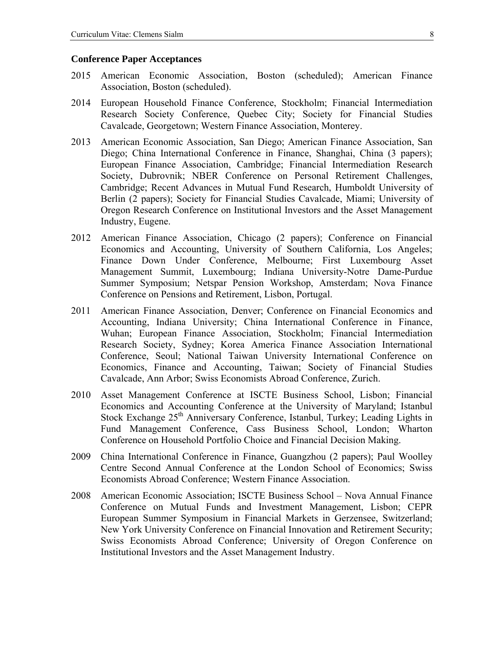#### **Conference Paper Acceptances**

- 2015 American Economic Association, Boston (scheduled); American Finance Association, Boston (scheduled).
- 2014 European Household Finance Conference, Stockholm; Financial Intermediation Research Society Conference, Quebec City; Society for Financial Studies Cavalcade, Georgetown; Western Finance Association, Monterey.
- 2013 American Economic Association, San Diego; American Finance Association, San Diego; China International Conference in Finance, Shanghai, China (3 papers); European Finance Association, Cambridge; Financial Intermediation Research Society, Dubrovnik; NBER Conference on Personal Retirement Challenges, Cambridge; Recent Advances in Mutual Fund Research, Humboldt University of Berlin (2 papers); Society for Financial Studies Cavalcade, Miami; University of Oregon Research Conference on Institutional Investors and the Asset Management Industry, Eugene.
- 2012 American Finance Association, Chicago (2 papers); Conference on Financial Economics and Accounting, University of Southern California, Los Angeles; Finance Down Under Conference, Melbourne; First Luxembourg Asset Management Summit, Luxembourg; Indiana University-Notre Dame-Purdue Summer Symposium; Netspar Pension Workshop, Amsterdam; Nova Finance Conference on Pensions and Retirement, Lisbon, Portugal.
- 2011 American Finance Association, Denver; Conference on Financial Economics and Accounting, Indiana University; China International Conference in Finance, Wuhan; European Finance Association, Stockholm; Financial Intermediation Research Society, Sydney; Korea America Finance Association International Conference, Seoul; National Taiwan University International Conference on Economics, Finance and Accounting, Taiwan; Society of Financial Studies Cavalcade, Ann Arbor; Swiss Economists Abroad Conference, Zurich.
- 2010 Asset Management Conference at ISCTE Business School, Lisbon; Financial Economics and Accounting Conference at the University of Maryland; Istanbul Stock Exchange 25<sup>th</sup> Anniversary Conference, Istanbul, Turkey; Leading Lights in Fund Management Conference, Cass Business School, London; Wharton Conference on Household Portfolio Choice and Financial Decision Making.
- 2009 China International Conference in Finance, Guangzhou (2 papers); Paul Woolley Centre Second Annual Conference at the London School of Economics; Swiss Economists Abroad Conference; Western Finance Association.
- 2008 American Economic Association; ISCTE Business School Nova Annual Finance Conference on Mutual Funds and Investment Management, Lisbon; CEPR European Summer Symposium in Financial Markets in Gerzensee, Switzerland; New York University Conference on Financial Innovation and Retirement Security; Swiss Economists Abroad Conference; University of Oregon Conference on Institutional Investors and the Asset Management Industry.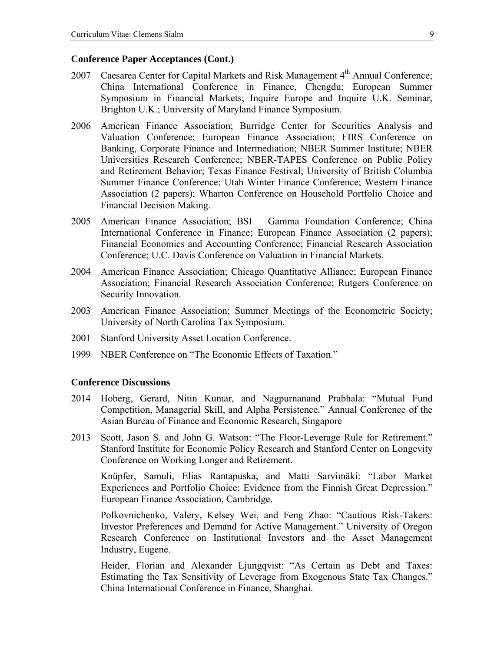#### **Conference Paper Acceptances (Cont.)**

- 2007 Caesarea Center for Capital Markets and Risk Management 4<sup>th</sup> Annual Conference; China International Conference in Finance, Chengdu; European Summer Symposium in Financial Markets; Inquire Europe and Inquire U.K. Seminar, Brighton U.K.; University of Maryland Finance Symposium.
- 2006 American Finance Association; Burridge Center for Securities Analysis and Valuation Conference; European Finance Association; FIRS Conference on Banking, Corporate Finance and Intermediation; NBER Summer Institute; NBER Universities Research Conference; NBER-TAPES Conference on Public Policy and Retirement Behavior; Texas Finance Festival; University of British Columbia Summer Finance Conference; Utah Winter Finance Conference; Western Finance Association (2 papers); Wharton Conference on Household Portfolio Choice and Financial Decision Making.
- 2005 American Finance Association; BSI Gamma Foundation Conference; China International Conference in Finance; European Finance Association (2 papers); Financial Economics and Accounting Conference; Financial Research Association Conference; U.C. Davis Conference on Valuation in Financial Markets.
- 2004 American Finance Association; Chicago Quantitative Alliance; European Finance Association; Financial Research Association Conference; Rutgers Conference on Security Innovation.
- 2003 American Finance Association; Summer Meetings of the Econometric Society; University of North Carolina Tax Symposium.
- 2001 Stanford University Asset Location Conference.
- 1999 NBER Conference on "The Economic Effects of Taxation."

#### **Conference Discussions**

- 2014 Hoberg, Gerard, Nitin Kumar, and Nagpurnanand Prabhala: "Mutual Fund Competition, Managerial Skill, and Alpha Persistence." Annual Conference of the Asian Bureau of Finance and Economic Research, Singapore
- 2013 Scott, Jason S. and John G. Watson: "The Floor-Leverage Rule for Retirement." Stanford Institute for Economic Policy Research and Stanford Center on Longevity Conference on Working Longer and Retirement.

 Knüpfer, Samuli, Elias Rantapuska, and Matti Sarvimäki: "Labor Market Experiences and Portfolio Choice: Evidence from the Finnish Great Depression." European Finance Association, Cambridge.

 Polkovnichenko, Valery, Kelsey Wei, and Feng Zhao: "Cautious Risk-Takers: Investor Preferences and Demand for Active Management." University of Oregon Research Conference on Institutional Investors and the Asset Management Industry, Eugene.

 Heider, Florian and Alexander Ljungqvist: "As Certain as Debt and Taxes: Estimating the Tax Sensitivity of Leverage from Exogenous State Tax Changes." China International Conference in Finance, Shanghai.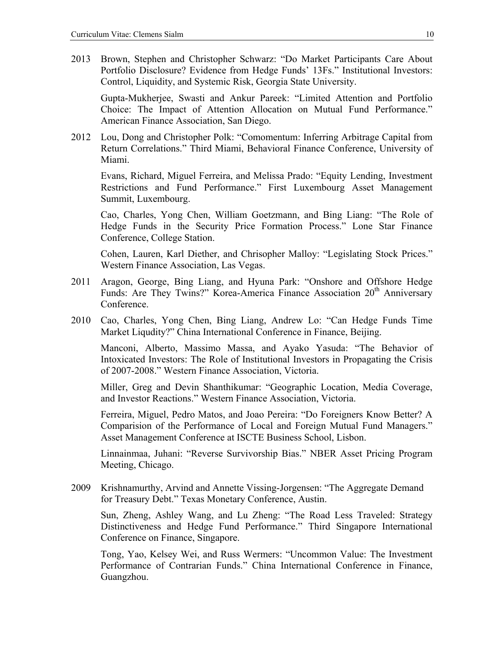2013 Brown, Stephen and Christopher Schwarz: "Do Market Participants Care About Portfolio Disclosure? Evidence from Hedge Funds' 13Fs." Institutional Investors: Control, Liquidity, and Systemic Risk, Georgia State University.

 Gupta-Mukherjee, Swasti and Ankur Pareek: "Limited Attention and Portfolio Choice: The Impact of Attention Allocation on Mutual Fund Performance." American Finance Association, San Diego.

2012 Lou, Dong and Christopher Polk: "Comomentum: Inferring Arbitrage Capital from Return Correlations." Third Miami, Behavioral Finance Conference, University of Miami.

 Evans, Richard, Miguel Ferreira, and Melissa Prado: "Equity Lending, Investment Restrictions and Fund Performance." First Luxembourg Asset Management Summit, Luxembourg.

 Cao, Charles, Yong Chen, William Goetzmann, and Bing Liang: "The Role of Hedge Funds in the Security Price Formation Process." Lone Star Finance Conference, College Station.

 Cohen, Lauren, Karl Diether, and Chrisopher Malloy: "Legislating Stock Prices." Western Finance Association, Las Vegas.

- 2011 Aragon, George, Bing Liang, and Hyuna Park: "Onshore and Offshore Hedge Funds: Are They Twins?" Korea-America Finance Association 20<sup>th</sup> Anniversary Conference.
- 2010 Cao, Charles, Yong Chen, Bing Liang, Andrew Lo: "Can Hedge Funds Time Market Liqudity?" China International Conference in Finance, Beijing.

 Manconi, Alberto, Massimo Massa, and Ayako Yasuda: "The Behavior of Intoxicated Investors: The Role of Institutional Investors in Propagating the Crisis of 2007-2008." Western Finance Association, Victoria.

 Miller, Greg and Devin Shanthikumar: "Geographic Location, Media Coverage, and Investor Reactions." Western Finance Association, Victoria.

 Ferreira, Miguel, Pedro Matos, and Joao Pereira: "Do Foreigners Know Better? A Comparision of the Performance of Local and Foreign Mutual Fund Managers." Asset Management Conference at ISCTE Business School, Lisbon.

 Linnainmaa, Juhani: "Reverse Survivorship Bias." NBER Asset Pricing Program Meeting, Chicago.

2009 Krishnamurthy, Arvind and Annette Vissing-Jorgensen: "The Aggregate Demand for Treasury Debt." Texas Monetary Conference, Austin.

 Sun, Zheng, Ashley Wang, and Lu Zheng: "The Road Less Traveled: Strategy Distinctiveness and Hedge Fund Performance." Third Singapore International Conference on Finance, Singapore.

 Tong, Yao, Kelsey Wei, and Russ Wermers: "Uncommon Value: The Investment Performance of Contrarian Funds." China International Conference in Finance, Guangzhou.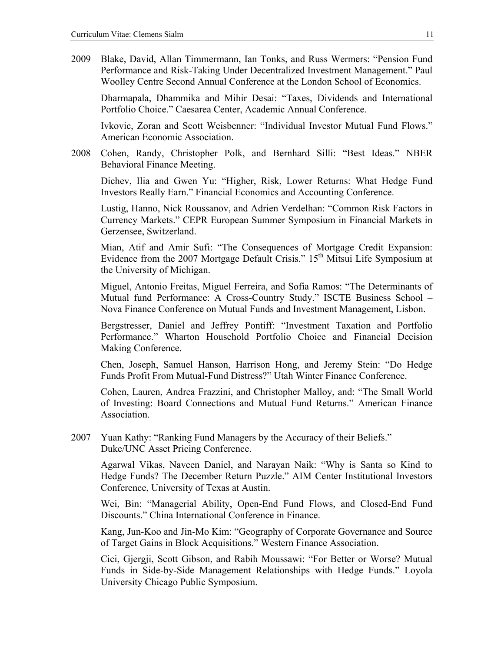2009 Blake, David, Allan Timmermann, Ian Tonks, and Russ Wermers: "Pension Fund Performance and Risk-Taking Under Decentralized Investment Management." Paul Woolley Centre Second Annual Conference at the London School of Economics.

 Dharmapala, Dhammika and Mihir Desai: "Taxes, Dividends and International Portfolio Choice." Caesarea Center, Academic Annual Conference.

 Ivkovic, Zoran and Scott Weisbenner: "Individual Investor Mutual Fund Flows." American Economic Association.

2008 Cohen, Randy, Christopher Polk, and Bernhard Silli: "Best Ideas." NBER Behavioral Finance Meeting.

 Dichev, Ilia and Gwen Yu: "Higher, Risk, Lower Returns: What Hedge Fund Investors Really Earn." Financial Economics and Accounting Conference.

 Lustig, Hanno, Nick Roussanov, and Adrien Verdelhan: "Common Risk Factors in Currency Markets." CEPR European Summer Symposium in Financial Markets in Gerzensee, Switzerland.

 Mian, Atif and Amir Sufi: "The Consequences of Mortgage Credit Expansion: Evidence from the 2007 Mortgage Default Crisis."  $15<sup>th</sup>$  Mitsui Life Symposium at the University of Michigan.

Miguel, Antonio Freitas, Miguel Ferreira, and Sofia Ramos: "The Determinants of Mutual fund Performance: A Cross-Country Study." ISCTE Business School – Nova Finance Conference on Mutual Funds and Investment Management, Lisbon.

Bergstresser, Daniel and Jeffrey Pontiff: "Investment Taxation and Portfolio Performance." Wharton Household Portfolio Choice and Financial Decision Making Conference.

Chen, Joseph, Samuel Hanson, Harrison Hong, and Jeremy Stein: "Do Hedge Funds Profit From Mutual-Fund Distress?" Utah Winter Finance Conference.

Cohen, Lauren, Andrea Frazzini, and Christopher Malloy, and: "The Small World of Investing: Board Connections and Mutual Fund Returns." American Finance Association.

2007 Yuan Kathy: "Ranking Fund Managers by the Accuracy of their Beliefs." Duke/UNC Asset Pricing Conference.

Agarwal Vikas, Naveen Daniel, and Narayan Naik: "Why is Santa so Kind to Hedge Funds? The December Return Puzzle." AIM Center Institutional Investors Conference, University of Texas at Austin.

Wei, Bin: "Managerial Ability, Open-End Fund Flows, and Closed-End Fund Discounts." China International Conference in Finance.

Kang, Jun-Koo and Jin-Mo Kim: "Geography of Corporate Governance and Source of Target Gains in Block Acquisitions." Western Finance Association.

Cici, Gjergji, Scott Gibson, and Rabih Moussawi: "For Better or Worse? Mutual Funds in Side-by-Side Management Relationships with Hedge Funds." Loyola University Chicago Public Symposium.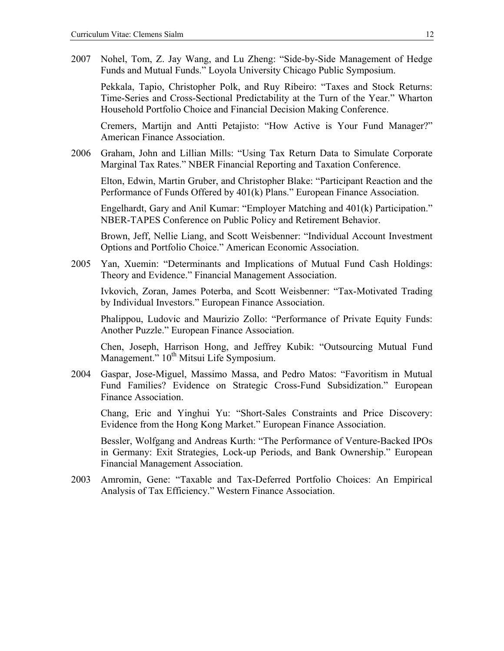2007 Nohel, Tom, Z. Jay Wang, and Lu Zheng: "Side-by-Side Management of Hedge Funds and Mutual Funds." Loyola University Chicago Public Symposium.

 Pekkala, Tapio, Christopher Polk, and Ruy Ribeiro: "Taxes and Stock Returns: Time-Series and Cross-Sectional Predictability at the Turn of the Year." Wharton Household Portfolio Choice and Financial Decision Making Conference.

 Cremers, Martijn and Antti Petajisto: "How Active is Your Fund Manager?" American Finance Association.

2006 Graham, John and Lillian Mills: "Using Tax Return Data to Simulate Corporate Marginal Tax Rates." NBER Financial Reporting and Taxation Conference.

 Elton, Edwin, Martin Gruber, and Christopher Blake: "Participant Reaction and the Performance of Funds Offered by 401(k) Plans." European Finance Association.

Engelhardt, Gary and Anil Kumar: "Employer Matching and 401(k) Participation." NBER-TAPES Conference on Public Policy and Retirement Behavior.

Brown, Jeff, Nellie Liang, and Scott Weisbenner: "Individual Account Investment Options and Portfolio Choice." American Economic Association.

2005 Yan, Xuemin: "Determinants and Implications of Mutual Fund Cash Holdings: Theory and Evidence." Financial Management Association.

Ivkovich, Zoran, James Poterba, and Scott Weisbenner: "Tax-Motivated Trading by Individual Investors." European Finance Association.

Phalippou, Ludovic and Maurizio Zollo: "Performance of Private Equity Funds: Another Puzzle." European Finance Association.

Chen, Joseph, Harrison Hong, and Jeffrey Kubik: "Outsourcing Mutual Fund Management." 10<sup>th</sup> Mitsui Life Symposium.

2004 Gaspar, Jose-Miguel, Massimo Massa, and Pedro Matos: "Favoritism in Mutual Fund Families? Evidence on Strategic Cross-Fund Subsidization." European Finance Association.

Chang, Eric and Yinghui Yu: "Short-Sales Constraints and Price Discovery: Evidence from the Hong Kong Market." European Finance Association.

Bessler, Wolfgang and Andreas Kurth: "The Performance of Venture-Backed IPOs in Germany: Exit Strategies, Lock-up Periods, and Bank Ownership." European Financial Management Association.

2003 Amromin, Gene: "Taxable and Tax-Deferred Portfolio Choices: An Empirical Analysis of Tax Efficiency." Western Finance Association.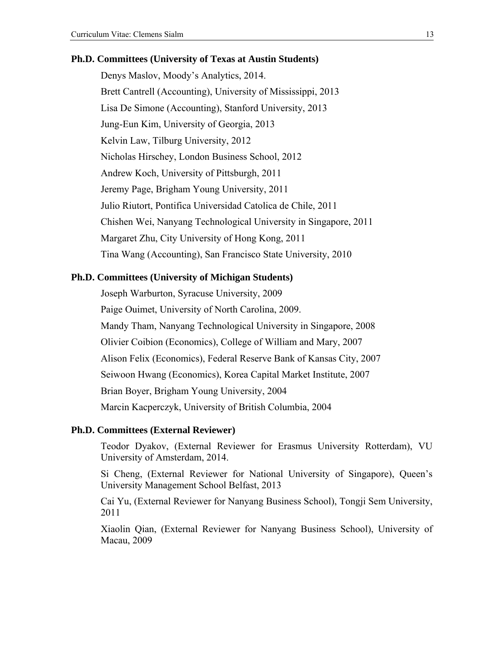## **Ph.D. Committees (University of Texas at Austin Students)**

Denys Maslov, Moody's Analytics, 2014. Brett Cantrell (Accounting), University of Mississippi, 2013 Lisa De Simone (Accounting), Stanford University, 2013 Jung-Eun Kim, University of Georgia, 2013 Kelvin Law, Tilburg University, 2012 Nicholas Hirschey, London Business School, 2012 Andrew Koch, University of Pittsburgh, 2011 Jeremy Page, Brigham Young University, 2011 Julio Riutort, Pontifica Universidad Catolica de Chile, 2011 Chishen Wei, Nanyang Technological University in Singapore, 2011 Margaret Zhu, City University of Hong Kong, 2011 Tina Wang (Accounting), San Francisco State University, 2010

# **Ph.D. Committees (University of Michigan Students)**

Joseph Warburton, Syracuse University, 2009 Paige Ouimet, University of North Carolina, 2009. Mandy Tham, Nanyang Technological University in Singapore, 2008 Olivier Coibion (Economics), College of William and Mary, 2007 Alison Felix (Economics), Federal Reserve Bank of Kansas City, 2007 Seiwoon Hwang (Economics), Korea Capital Market Institute, 2007 Brian Boyer, Brigham Young University, 2004 Marcin Kacperczyk, University of British Columbia, 2004

## **Ph.D. Committees (External Reviewer)**

Teodor Dyakov, (External Reviewer for Erasmus University Rotterdam), VU University of Amsterdam, 2014.

Si Cheng, (External Reviewer for National University of Singapore), Queen's University Management School Belfast, 2013

Cai Yu, (External Reviewer for Nanyang Business School), Tongji Sem University, 2011

Xiaolin Qian, (External Reviewer for Nanyang Business School), University of Macau, 2009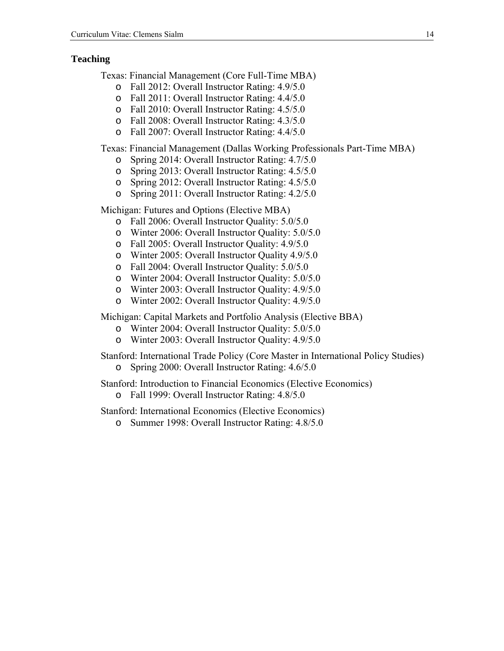# **Teaching**

Texas: Financial Management (Core Full-Time MBA)

- o Fall 2012: Overall Instructor Rating: 4.9/5.0
- o Fall 2011: Overall Instructor Rating: 4.4/5.0
- o Fall 2010: Overall Instructor Rating: 4.5/5.0
- o Fall 2008: Overall Instructor Rating: 4.3/5.0
- o Fall 2007: Overall Instructor Rating: 4.4/5.0

Texas: Financial Management (Dallas Working Professionals Part-Time MBA)

- o Spring 2014: Overall Instructor Rating: 4.7/5.0
- o Spring 2013: Overall Instructor Rating: 4.5/5.0
- o Spring 2012: Overall Instructor Rating: 4.5/5.0
- o Spring 2011: Overall Instructor Rating: 4.2/5.0

Michigan: Futures and Options (Elective MBA)

- o Fall 2006: Overall Instructor Quality: 5.0/5.0
- o Winter 2006: Overall Instructor Quality: 5.0/5.0
- o Fall 2005: Overall Instructor Quality: 4.9/5.0
- o Winter 2005: Overall Instructor Quality 4.9/5.0
- o Fall 2004: Overall Instructor Quality: 5.0/5.0
- o Winter 2004: Overall Instructor Quality: 5.0/5.0
- o Winter 2003: Overall Instructor Quality: 4.9/5.0
- o Winter 2002: Overall Instructor Quality: 4.9/5.0

Michigan: Capital Markets and Portfolio Analysis (Elective BBA)

- o Winter 2004: Overall Instructor Quality: 5.0/5.0
- o Winter 2003: Overall Instructor Quality: 4.9/5.0

Stanford: International Trade Policy (Core Master in International Policy Studies)

o Spring 2000: Overall Instructor Rating: 4.6/5.0

Stanford: Introduction to Financial Economics (Elective Economics)

o Fall 1999: Overall Instructor Rating: 4.8/5.0

Stanford: International Economics (Elective Economics)

o Summer 1998: Overall Instructor Rating: 4.8/5.0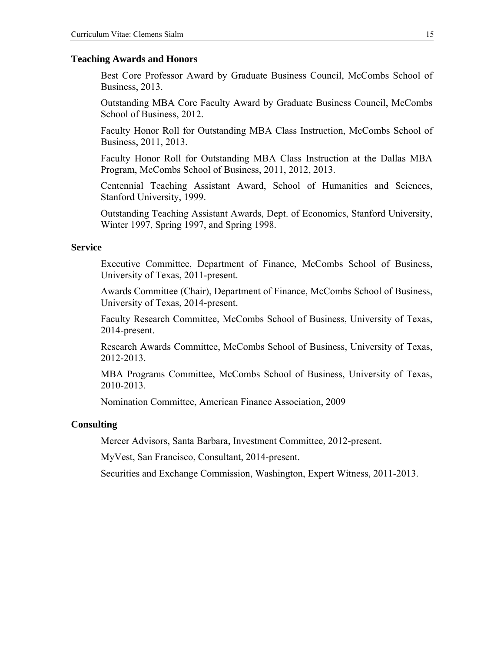#### **Teaching Awards and Honors**

Best Core Professor Award by Graduate Business Council, McCombs School of Business, 2013.

Outstanding MBA Core Faculty Award by Graduate Business Council, McCombs School of Business, 2012.

Faculty Honor Roll for Outstanding MBA Class Instruction, McCombs School of Business, 2011, 2013.

Faculty Honor Roll for Outstanding MBA Class Instruction at the Dallas MBA Program, McCombs School of Business, 2011, 2012, 2013.

Centennial Teaching Assistant Award, School of Humanities and Sciences, Stanford University, 1999.

Outstanding Teaching Assistant Awards, Dept. of Economics, Stanford University, Winter 1997, Spring 1997, and Spring 1998.

#### **Service**

Executive Committee, Department of Finance, McCombs School of Business, University of Texas, 2011-present.

Awards Committee (Chair), Department of Finance, McCombs School of Business, University of Texas, 2014-present.

Faculty Research Committee, McCombs School of Business, University of Texas, 2014-present.

Research Awards Committee, McCombs School of Business, University of Texas, 2012-2013.

MBA Programs Committee, McCombs School of Business, University of Texas, 2010-2013.

Nomination Committee, American Finance Association, 2009

# **Consulting**

Mercer Advisors, Santa Barbara, Investment Committee, 2012-present.

MyVest, San Francisco, Consultant, 2014-present.

Securities and Exchange Commission, Washington, Expert Witness, 2011-2013.